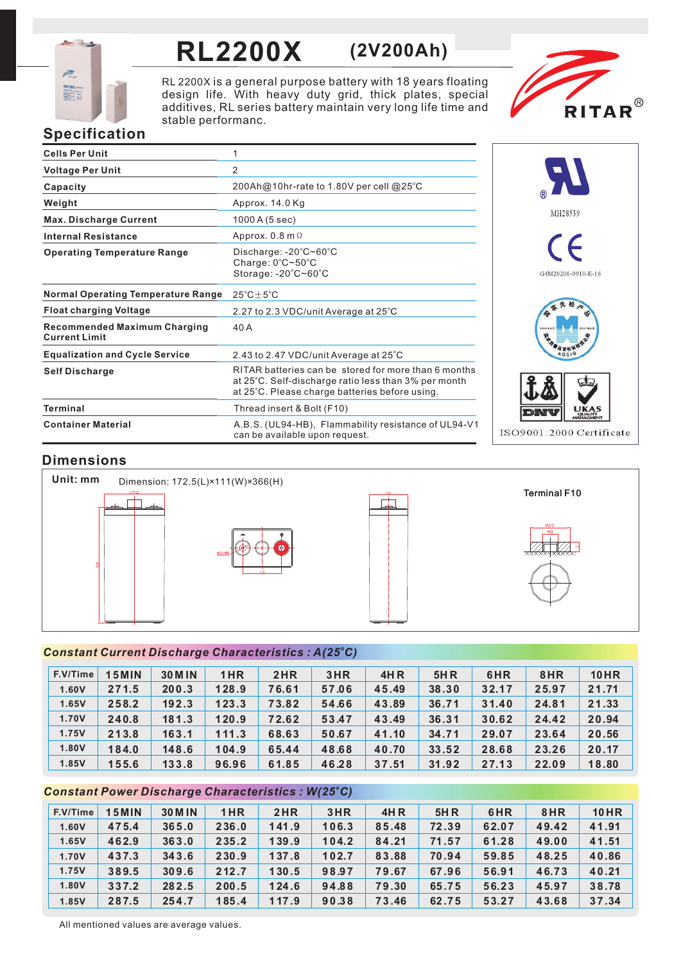

# **RL2200X (2V200Ah)**

RL 2200X is a general purpose battery with 18 years floating design life. With heavy duty grid, thick plates, special additives, RL series battery maintain very long life time and stable performanc.



# **Specification**

| <b>Cells Per Unit</b>                                       | 1                                                                                                                                                              |
|-------------------------------------------------------------|----------------------------------------------------------------------------------------------------------------------------------------------------------------|
| <b>Voltage Per Unit</b>                                     | 2                                                                                                                                                              |
| Capacity                                                    | 200Ah@10hr-rate to 1.80V per cell @25°C                                                                                                                        |
| Weight                                                      | Approx. 14.0 Kg                                                                                                                                                |
| <b>Max. Discharge Current</b>                               | 1000 A (5 sec)                                                                                                                                                 |
| <b>Internal Resistance</b>                                  | Approx. $0.8$ m $\Omega$                                                                                                                                       |
| <b>Operating Temperature Range</b>                          | Discharge: $-20^{\circ}$ C $\sim$ 60 $^{\circ}$ C<br>Charge: 0°C~50°C<br>Storage: -20°C~60°C                                                                   |
| <b>Normal Operating Temperature Range</b>                   | $25^{\circ}$ C $\pm$ 5 $^{\circ}$ C                                                                                                                            |
| <b>Float charging Voltage</b>                               | 2.27 to 2.3 VDC/unit Average at 25°C                                                                                                                           |
| <b>Recommended Maximum Charging</b><br><b>Current Limit</b> | 40 A                                                                                                                                                           |
| <b>Equalization and Cycle Service</b>                       | 2.43 to 2.47 VDC/unit Average at 25°C                                                                                                                          |
| <b>Self Discharge</b>                                       | RITAR batteries can be stored for more than 6 months<br>at 25°C. Self-discharge ratio less than 3% per month<br>at 25°C. Please charge batteries before using. |
| Terminal                                                    | Thread insert & Bolt (F10)                                                                                                                                     |
| <b>Container Material</b>                                   | A.B.S. (UL94-HB), Flammability resistance of UL94-V1<br>can be available upon request.                                                                         |



# **Dimensions**



## *<sup>o</sup> Constant Current Discharge Characteristics : A(25 C)*

| F.V/Time | <b>5MIN</b> | <b>30 M IN</b> | 1HR   | 2HR   | 3HR   | 4H R  | 5H R  | 6HR   | 8HR   | <b>10HR</b> |
|----------|-------------|----------------|-------|-------|-------|-------|-------|-------|-------|-------------|
| 1.60V    | 271.5       | 200.3          | 128.9 | 76.61 | 57.06 | 45.49 | 38.30 | 32.17 | 25.97 | 21.71       |
| 1.65V    | 258.2       | 192.3          | 123.3 | 73.82 | 54.66 | 43.89 | 36.71 | 31.40 | 24.81 | 21.33       |
| 1.70V    | 240.8       | 181.3          | 120.9 | 72.62 | 53.47 | 43.49 | 36.31 | 30.62 | 24.42 | 20.94       |
| 1.75V    | 213.8       | 163.1          | 111.3 | 68.63 | 50.67 | 41.10 | 34.71 | 29.07 | 23.64 | 20.56       |
| 1.80V    | 184.0       | 148.6          | 104.9 | 65.44 | 48.68 | 40.70 | 33.52 | 28.68 | 23.26 | 20.17       |
| 1.85V    | 155.6       | 133.8          | 96.96 | 61.85 | 46.28 | 37.51 | 31.92 | 27.13 | 22.09 | 18.80       |

## *<sup>o</sup> Constant Power Discharge Characteristics : W(25 C)*

| F.V/Time | <b>15MIN</b> | <b>30 M IN</b> | 1HR   | 2HR   | 3HR   | 4H R  | 5H R  | 6HR   | 8HR   | <b>10HR</b> |
|----------|--------------|----------------|-------|-------|-------|-------|-------|-------|-------|-------------|
| 1.60V    | 475.4        | 365.0          | 236.0 | 141.9 | 106.3 | 85.48 | 72.39 | 62.07 | 49.42 | 41.91       |
| 1.65V    | 462.9        | 363.0          | 235.2 | 139.9 | 104.2 | 84.21 | 71.57 | 61.28 | 49.00 | 41.51       |
| 1.70V    | 437.3        | 343.6          | 230.9 | 137.8 | 102.7 | 83.88 | 70.94 | 59.85 | 48.25 | 40.86       |
| 1.75V    | 389.5        | 309.6          | 212.7 | 130.5 | 98.97 | 79.67 | 67.96 | 56.91 | 46.73 | 40.21       |
| 1.80V    | 337.2        | 282.5          | 200.5 | 124.6 | 94.88 | 79.30 | 65.75 | 56.23 | 45.97 | 38.78       |
| 1.85V    | 287.5        | 254.7          | 185.4 | 117.9 | 90.38 | 73.46 | 62.75 | 53.27 | 43.68 | 37.34       |

All mentioned values are average values.